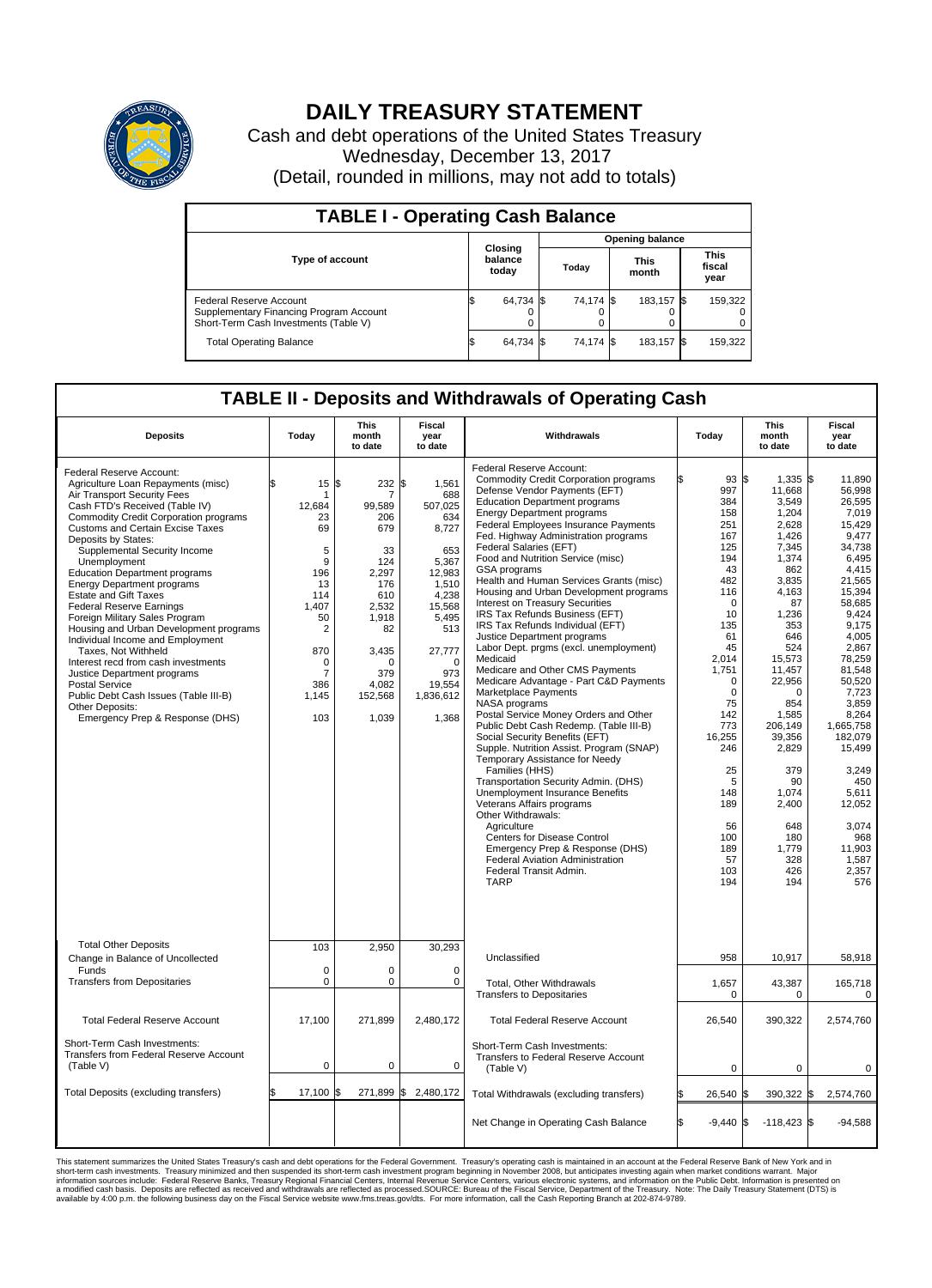

## **DAILY TREASURY STATEMENT**

Cash and debt operations of the United States Treasury Wednesday, December 13, 2017 (Detail, rounded in millions, may not add to totals)

| <b>TABLE I - Operating Cash Balance</b>                                                                     |  |                             |  |                        |  |                      |  |                               |  |  |
|-------------------------------------------------------------------------------------------------------------|--|-----------------------------|--|------------------------|--|----------------------|--|-------------------------------|--|--|
|                                                                                                             |  |                             |  | <b>Opening balance</b> |  |                      |  |                               |  |  |
| <b>Type of account</b>                                                                                      |  | Closing<br>balance<br>today |  | Today                  |  | <b>This</b><br>month |  | <b>This</b><br>fiscal<br>year |  |  |
| Federal Reserve Account<br>Supplementary Financing Program Account<br>Short-Term Cash Investments (Table V) |  | 64,734 \$                   |  | 74,174 \$              |  | 183,157 \$           |  | 159,322                       |  |  |
| <b>Total Operating Balance</b>                                                                              |  | 64,734 \$                   |  | 74,174 \$              |  | 183,157 \$           |  | 159,322                       |  |  |

## **TABLE II - Deposits and Withdrawals of Operating Cash**

| <b>Deposits</b>                                                                                                                                                                                                                                                                                                                                                                                                                                                                                                                                                                                                                                                                                                                                                          | Today                                                                                                                                                   | <b>This</b><br>month<br>to date                                                                                                                    | <b>Fiscal</b><br>year<br>to date                                                                                                                                           | Withdrawals                                                                                                                                                                                                                                                                                                                                                                                                                                                                                                                                                                                                                                                                                                                                                                                                                                                                                                                                                                                                                                                                                                                                                                                                                                                                           | Today                                                                                                                                                                                                                                                                  | <b>This</b><br>month<br>to date                                                                                                                                                                                                                                                                            | Fiscal<br>year<br>to date                                                                                                                                                                                                                                                                                                             |
|--------------------------------------------------------------------------------------------------------------------------------------------------------------------------------------------------------------------------------------------------------------------------------------------------------------------------------------------------------------------------------------------------------------------------------------------------------------------------------------------------------------------------------------------------------------------------------------------------------------------------------------------------------------------------------------------------------------------------------------------------------------------------|---------------------------------------------------------------------------------------------------------------------------------------------------------|----------------------------------------------------------------------------------------------------------------------------------------------------|----------------------------------------------------------------------------------------------------------------------------------------------------------------------------|---------------------------------------------------------------------------------------------------------------------------------------------------------------------------------------------------------------------------------------------------------------------------------------------------------------------------------------------------------------------------------------------------------------------------------------------------------------------------------------------------------------------------------------------------------------------------------------------------------------------------------------------------------------------------------------------------------------------------------------------------------------------------------------------------------------------------------------------------------------------------------------------------------------------------------------------------------------------------------------------------------------------------------------------------------------------------------------------------------------------------------------------------------------------------------------------------------------------------------------------------------------------------------------|------------------------------------------------------------------------------------------------------------------------------------------------------------------------------------------------------------------------------------------------------------------------|------------------------------------------------------------------------------------------------------------------------------------------------------------------------------------------------------------------------------------------------------------------------------------------------------------|---------------------------------------------------------------------------------------------------------------------------------------------------------------------------------------------------------------------------------------------------------------------------------------------------------------------------------------|
| Federal Reserve Account:<br>Agriculture Loan Repayments (misc)<br>Air Transport Security Fees<br>Cash FTD's Received (Table IV)<br><b>Commodity Credit Corporation programs</b><br>Customs and Certain Excise Taxes<br>Deposits by States:<br>Supplemental Security Income<br>Unemployment<br><b>Education Department programs</b><br><b>Energy Department programs</b><br><b>Estate and Gift Taxes</b><br><b>Federal Reserve Earnings</b><br>Foreign Military Sales Program<br>Housing and Urban Development programs<br>Individual Income and Employment<br>Taxes. Not Withheld<br>Interest recd from cash investments<br>Justice Department programs<br>Postal Service<br>Public Debt Cash Issues (Table III-B)<br>Other Deposits:<br>Emergency Prep & Response (DHS) | \$<br>15<br>1<br>12,684<br>23<br>69<br>5<br>9<br>196<br>13<br>114<br>1.407<br>50<br>$\overline{2}$<br>870<br>0<br>$\overline{7}$<br>386<br>1,145<br>103 | \$<br>232 \$<br>99,589<br>206<br>679<br>33<br>124<br>2.297<br>176<br>610<br>2,532<br>1,918<br>82<br>3,435<br>n<br>379<br>4,082<br>152,568<br>1,039 | 1,561<br>688<br>507,025<br>634<br>8,727<br>653<br>5,367<br>12.983<br>1,510<br>4,238<br>15,568<br>5,495<br>513<br>27,777<br>$\Omega$<br>973<br>19,554<br>1,836,612<br>1,368 | Federal Reserve Account:<br><b>Commodity Credit Corporation programs</b><br>Defense Vendor Payments (EFT)<br><b>Education Department programs</b><br><b>Energy Department programs</b><br>Federal Employees Insurance Payments<br>Fed. Highway Administration programs<br>Federal Salaries (EFT)<br>Food and Nutrition Service (misc)<br>GSA programs<br>Health and Human Services Grants (misc)<br>Housing and Urban Development programs<br>Interest on Treasury Securities<br>IRS Tax Refunds Business (EFT)<br>IRS Tax Refunds Individual (EFT)<br>Justice Department programs<br>Labor Dept. prgms (excl. unemployment)<br>Medicaid<br>Medicare and Other CMS Payments<br>Medicare Advantage - Part C&D Payments<br>Marketplace Payments<br>NASA programs<br>Postal Service Money Orders and Other<br>Public Debt Cash Redemp. (Table III-B)<br>Social Security Benefits (EFT)<br>Supple. Nutrition Assist. Program (SNAP)<br>Temporary Assistance for Needy<br>Families (HHS)<br>Transportation Security Admin. (DHS)<br>Unemployment Insurance Benefits<br>Veterans Affairs programs<br>Other Withdrawals:<br>Agriculture<br><b>Centers for Disease Control</b><br>Emergency Prep & Response (DHS)<br>Federal Aviation Administration<br>Federal Transit Admin.<br><b>TARP</b> | 93S<br>997<br>384<br>158<br>251<br>167<br>125<br>194<br>43<br>482<br>116<br>$\mathbf 0$<br>10<br>135<br>61<br>45<br>2,014<br>1,751<br>$\mathbf 0$<br>$\mathbf 0$<br>75<br>142<br>773<br>16,255<br>246<br>25<br>5<br>148<br>189<br>56<br>100<br>189<br>57<br>103<br>194 | $1,335$ \$<br>11,668<br>3,549<br>1,204<br>2,628<br>1,426<br>7,345<br>1,374<br>862<br>3,835<br>4,163<br>87<br>1,236<br>353<br>646<br>524<br>15,573<br>11,457<br>22,956<br>$\Omega$<br>854<br>1,585<br>206,149<br>39,356<br>2,829<br>379<br>90<br>1.074<br>2,400<br>648<br>180<br>1,779<br>328<br>426<br>194 | 11.890<br>56,998<br>26.595<br>7,019<br>15,429<br>9.477<br>34,738<br>6,495<br>4,415<br>21.565<br>15,394<br>58,685<br>9,424<br>9.175<br>4,005<br>2,867<br>78.259<br>81.548<br>50,520<br>7,723<br>3.859<br>8,264<br>1,665,758<br>182,079<br>15,499<br>3,249<br>450<br>5,611<br>12,052<br>3,074<br>968<br>11,903<br>1,587<br>2,357<br>576 |
| <b>Total Other Deposits</b><br>Change in Balance of Uncollected                                                                                                                                                                                                                                                                                                                                                                                                                                                                                                                                                                                                                                                                                                          | 103                                                                                                                                                     | 2,950                                                                                                                                              | 30,293                                                                                                                                                                     | Unclassified                                                                                                                                                                                                                                                                                                                                                                                                                                                                                                                                                                                                                                                                                                                                                                                                                                                                                                                                                                                                                                                                                                                                                                                                                                                                          | 958                                                                                                                                                                                                                                                                    | 10,917                                                                                                                                                                                                                                                                                                     | 58,918                                                                                                                                                                                                                                                                                                                                |
| Funds<br><b>Transfers from Depositaries</b>                                                                                                                                                                                                                                                                                                                                                                                                                                                                                                                                                                                                                                                                                                                              | $\mathbf 0$<br>$\pmb{0}$                                                                                                                                | 0<br>0                                                                                                                                             | $\mathbf 0$<br>0                                                                                                                                                           | Total, Other Withdrawals<br><b>Transfers to Depositaries</b>                                                                                                                                                                                                                                                                                                                                                                                                                                                                                                                                                                                                                                                                                                                                                                                                                                                                                                                                                                                                                                                                                                                                                                                                                          | 1,657<br>0                                                                                                                                                                                                                                                             | 43,387<br>0                                                                                                                                                                                                                                                                                                | 165,718<br>$\mathbf 0$                                                                                                                                                                                                                                                                                                                |
| <b>Total Federal Reserve Account</b>                                                                                                                                                                                                                                                                                                                                                                                                                                                                                                                                                                                                                                                                                                                                     | 17,100                                                                                                                                                  | 271,899                                                                                                                                            | 2,480,172                                                                                                                                                                  | <b>Total Federal Reserve Account</b>                                                                                                                                                                                                                                                                                                                                                                                                                                                                                                                                                                                                                                                                                                                                                                                                                                                                                                                                                                                                                                                                                                                                                                                                                                                  | 26,540                                                                                                                                                                                                                                                                 | 390,322                                                                                                                                                                                                                                                                                                    | 2,574,760                                                                                                                                                                                                                                                                                                                             |
| Short-Term Cash Investments:<br>Transfers from Federal Reserve Account<br>(Table V)                                                                                                                                                                                                                                                                                                                                                                                                                                                                                                                                                                                                                                                                                      | $\pmb{0}$                                                                                                                                               | 0                                                                                                                                                  | $\mathbf 0$                                                                                                                                                                | Short-Term Cash Investments:<br>Transfers to Federal Reserve Account<br>(Table V)                                                                                                                                                                                                                                                                                                                                                                                                                                                                                                                                                                                                                                                                                                                                                                                                                                                                                                                                                                                                                                                                                                                                                                                                     | 0                                                                                                                                                                                                                                                                      | $\Omega$                                                                                                                                                                                                                                                                                                   | $\Omega$                                                                                                                                                                                                                                                                                                                              |
| Total Deposits (excluding transfers)                                                                                                                                                                                                                                                                                                                                                                                                                                                                                                                                                                                                                                                                                                                                     | 17,100<br>\$                                                                                                                                            | 1\$                                                                                                                                                | 271,899 \$2,480,172                                                                                                                                                        | Total Withdrawals (excluding transfers)                                                                                                                                                                                                                                                                                                                                                                                                                                                                                                                                                                                                                                                                                                                                                                                                                                                                                                                                                                                                                                                                                                                                                                                                                                               | 26,540 \$                                                                                                                                                                                                                                                              | 390,322 \$                                                                                                                                                                                                                                                                                                 | 2,574,760                                                                                                                                                                                                                                                                                                                             |
|                                                                                                                                                                                                                                                                                                                                                                                                                                                                                                                                                                                                                                                                                                                                                                          |                                                                                                                                                         |                                                                                                                                                    |                                                                                                                                                                            | Net Change in Operating Cash Balance                                                                                                                                                                                                                                                                                                                                                                                                                                                                                                                                                                                                                                                                                                                                                                                                                                                                                                                                                                                                                                                                                                                                                                                                                                                  | Ŝ.<br>$-9.440$ \$                                                                                                                                                                                                                                                      | $-118,423$ \$                                                                                                                                                                                                                                                                                              | $-94.588$                                                                                                                                                                                                                                                                                                                             |

This statement summarizes the United States Treasury's cash and debt operations for the Federal Government. Treasury operating in November 2008, but anticinates investing again when market conditions warrant. Major York an